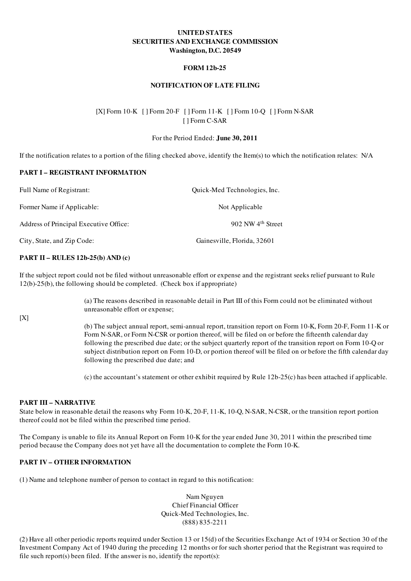# UNITED STATES SECURITIES AND EXCHANGE COMMISSION Washington, D.C. 20549

## FORM 12b-25

## NOTIFICATION OF LATE FILING

# [X] Form 10-K [ ] Form 20-F [ ] Form 11-K [ ] Form 10-Q [ ] Form N-SAR [ ] Form C-SAR

#### For the Period Ended: June 30, 2011

If the notification relates to a portion of the filing checked above, identify the Item(s) to which the notification relates: N/A

## PART I – REGISTRANT INFORMATION

| Full Name of Registrant:               | Quick-Med Technologies, Inc.  |
|----------------------------------------|-------------------------------|
| Former Name if Applicable:             | Not Applicable                |
| Address of Principal Executive Office: | 902 NW 4 <sup>th</sup> Street |
| City, State, and Zip Code:             | Gainesville, Florida, 32601   |

#### PART II – RULES 12b-25(b) AND (c)

If the subject report could not be filed without unreasonable effort or expense and the registrant seeks relief pursuant to Rule 12(b)-25(b), the following should be completed. (Check box if appropriate)

> (a) The reasons described in reasonable detail in Part III of this Form could not be eliminated without unreasonable effort or expense;

[X]

(b) The subject annual report, semi-annual report, transition report on Form 10-K, Form 20-F, Form 11-K or Form N-SAR, or Form N-CSR or portion thereof, will be filed on or before the fifteenth calendar day following the prescribed due date; or the subject quarterly report of the transition report on Form 10-Q or subject distribution report on Form 10-D, or portion thereof will be filed on or before the fifth calendar day following the prescribed due date; and

(c) the accountant's statement or other exhibit required by Rule 12b-25(c) has been attached if applicable.

#### PART III – NARRATIVE

State below in reasonable detail the reasons why Form 10-K, 20-F, 11-K, 10-Q, N-SAR, N-CSR, or the transition report portion thereof could not be filed within the prescribed time period.

The Company is unable to file its Annual Report on Form 10-K for the year ended June 30, 2011 within the prescribed time period because the Company does not yet have all the documentation to complete the Form 10-K.

#### PART IV – OTHER INFORMATION

(1) Name and telephone number of person to contact in regard to this notification:

Nam Nguyen Chief Financial Officer Quick-Med Technologies, Inc. (888) 835-2211

(2) Have all other periodic reports required under Section 13 or 15(d) of the Securities Exchange Act of 1934 or Section 30 of the Investment Company Act of 1940 during the preceding 12 months or for such shorter period that the Registrant was required to file such report(s) been filed. If the answer is no, identify the report(s):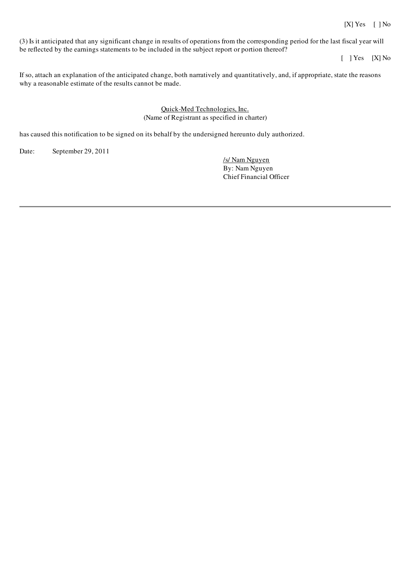## [X] Yes [ ] No

(3) Is it anticipated that any significant change in results of operations from the corresponding period for the last fiscal year will be reflected by the earnings statements to be included in the subject report or portion thereof?

[ ] Yes [X] No

If so, attach an explanation of the anticipated change, both narratively and quantitatively, and, if appropriate, state the reasons why a reasonable estimate of the results cannot be made.

## Quick-Med Technologies, Inc. (Name of Registrant as specified in charter)

has caused this notification to be signed on its behalf by the undersigned hereunto duly authorized.

Date: September 29, 2011

/s/ Nam Nguyen By: Nam Nguyen Chief Financial Officer